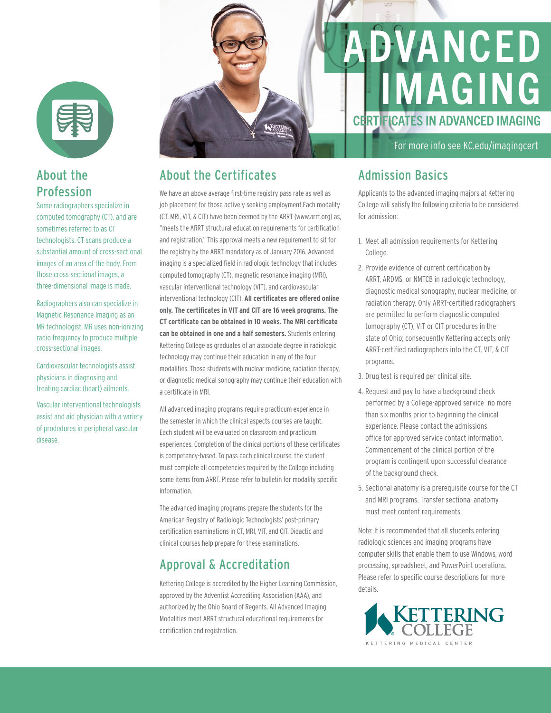

# About the Profession

Some radiographers specialize in computed tomography (CT), and are sometimes referred to as CT technologists. CT scans produce a substantial amount of cross-sectional images of an area of the body. From those cross-sectional images, a three-dimensional image is made.

Radiographers also can specialize in Magnetic Resonance Imaging as an MR technologist. MR uses non-ionizing radio frequency to produce multiple cross-sectional images.

Cardiovascular technologists assist physicians in diagnosing and treating cardiac (heart) ailments.

Vascular interventional technologists assist and aid physician with a variety of prodedures in peripheral vascular disease.

# KETTER

# About the Certificates

We have an above average first-time registry pass rate as well as job placement for those actively seeking employment.Each modality (CT, MRI, VIT, & CIT) have been deemed by the ARRT (www.arrt.org) as, "meets the ARRT structural education requirements for certification and registration." This approval meets a new requirement to sit for the registry by the ARRT mandatory as of January 2016. Advanced imaging is a specialized field in radiologic technology that includes computed tomography (CT), magnetic resonance imaging (MRI), vascular interventional technology (VIT), and cardiovascular interventional technology (CIT). **All certificates are offered online only. The certificates in VIT and CIT are 16 week programs. The CT certificate can be obtained in 10 weeks. The MRI certificate can be obtained in one and a half semesters.** Students entering Kettering College as graduates of an associate degree in radiologic technology may continue their education in any of the four modalities. Those students with nuclear medicine, radiation therapy, or diagnostic medical sonography may continue their education with a certificate in MRI.

All advanced imaging programs require practicum experience in the semester in which the clinical aspects courses are taught. Each student will be evaluated on classroom and practicum experiences. Completion of the clinical portions of these certificates is competency-based. To pass each clinical course, the student must complete all competencies required by the College including some items from ARRT. Please refer to bulletin for modality specific information.

The advanced imaging programs prepare the students for the American Registry of Radiologic Technologists' post-primary certification examinations in CT, MRI, VIT, and CIT. Didactic and clinical courses help prepare for these examinations.

# Approval & Accreditation

Kettering College is accredited by the Higher Learning Commission, approved by the Adventist Accrediting Association (AAA), and authorized by the Ohio Board of Regents. All Advanced Imaging Modalities meet ARRT structural educational requirements for certification and registration.

# DVANCED IMAGING CERTIFICATES IN ADVANCED IMAGING

For more info see KC.edu/imagingcert

### Admission Basics

Applicants to the advanced imaging majors at Kettering College will satisfy the following criteria to be considered for admission:

- 1. Meet all admission requirements for Kettering College.
- 2. Provide evidence of current certification by ARRT, ARDMS, or NMTCB in radiologic technology, diagnostic medical sonography, nuclear medicine, or radiation therapy. Only ARRT-certified radiographers are permitted to perform diagnostic computed tomography (CT), VIT or CIT procedures in the state of Ohio; consequently Kettering accepts only ARRT-certified radiographers into the CT, VIT, & CIT programs.
- 3. Drug test is required per clinical site.
- 4. Request and pay to have a background check performed by a College-approved service no more than six months prior to beginning the clinical experience. Please contact the admissions office for approved service contact information. Commencement of the clinical portion of the program is contingent upon successful clearance of the background check.
- 5. Sectional anatomy is a prerequisite course for the CT and MRI programs. Transfer sectional anatomy must meet content requirements.

Note: It is recommended that all students entering radiologic sciences and imaging programs have computer skills that enable them to use Windows, word processing, spreadsheet, and PowerPoint operations. Please refer to specific course descriptions for more details.